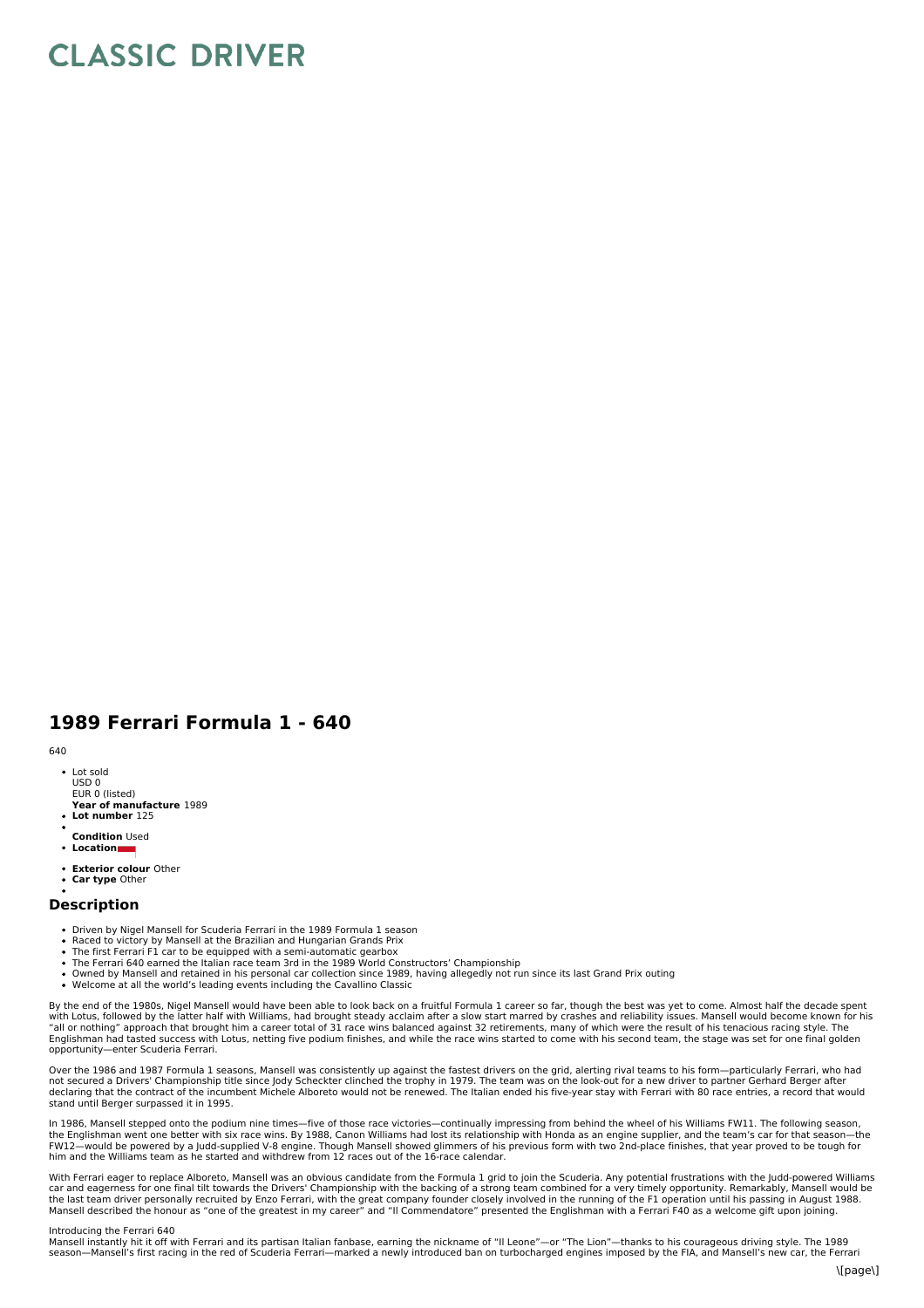# **CLASSIC DRIVER**

# **1989 Ferrari Formula 1 - 640**

## 640

- Lot sold USD 0 EUR 0 (listed)
- **Year of manufacture** 1989 **Lot number** 125
- 
- **Condition** Used
- **Location**
- **Exterior colour** Other
- **Car type** Other

# **Description**

- Driven by Nigel Mansell for Scuderia Ferrari in the 1989 Formula 1 season
- Raced to victory by Mansell at the Brazilian and Hungarian Grands Prix<br>The first Ferrari F1 car to be equipped with a semi-automatic gearbox
- 
- 
- The Ferrari 640 earned the Italian race team 3rd in the 1989 World Constructors' Championship Owned by Mansell and retained in his personal car collection since 1989, having allegedly not run since its last Grand Prix outing
- Welcome at all the world's leading events including the Cavallino Classic

By the end of the 1980s, Nigel Mansell would have been able to look back on a fruitful Formula 1 career so far, though the best was yet to come. Almost half the decade spent with Lotus, followed by the latter half with Williams, had brought steady acclaim after a slow start marred by crashes and reliability issues. Mansell would become known for his<br>"all or nothing" approach that brought him a Englishman had tasted success with Lotus, netting five podium finishes, and while the race wins started to come with his second team, the stage was set for one final golden opportunity—enter Scuderia Ferrari.

Over the 1986 and 1987 Formula 1 seasons, Mansell was consistently up against the fastest drivers on the grid, alerting rival teams to his form—particularly Ferrari, who had<br>not secured a Drivers' Championship title since declaring that the contract of the incumbent Michele Alboreto would not be renewed. The Italian ended his five-year stay with Ferrari with 80 race entries, a record that would stand until Berger surpassed it in 1995.

In 1986, Mansell stepped onto the podium nine times—five of those race victories—continually impressing from behind the wheel of his Williams FW11. The following season,<br>the Englishman went one better with six race wins. B FW12—would be powered by a Judd-supplied V-8 engine. Though Mansell showed glimmers of his previous form with two 2nd-place finishes, that year proved to be tough for him and the Williams team as he started and withdrew from 12 races out of the 16-race calendar.

With Ferrari eager to replace Alboreto, Mansell was an obvious candidate from the Formula 1 grid to join the Scuderia. Any potential frustrations with the Judd-powered Williams car and eagerness for one final tilt towards the Drivers' Championship with the backing of a strong team combined for a very timely opportunity. Remarkably, Mansell would be<br>the last team driver personally recruited by Enz

#### Introducing the Ferrari 640

Mansell instantly hit it off with Ferrari and its partisan Italian fanbase, earning the nickname of "Il Leone"—or "The Lion"—thanks to his courageous driving style. The 1989 season—Mansell's first racing in the red of Scuderia Ferrari—marked a newly introduced ban on turbocharged engines imposed by the FIA, and Mansell's new car, the Ferrari